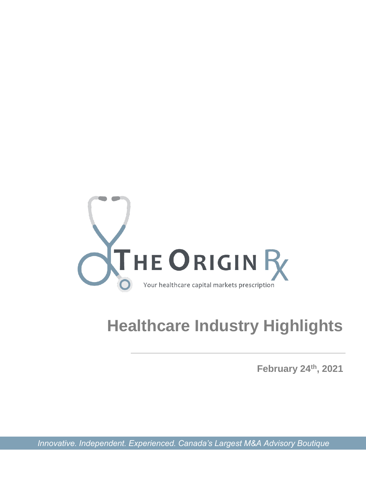

# **Healthcare Industry Highlights**

**February 24th, 2021**

*Innovative. Independent. Experienced. Canada's Largest M&A Advisory Boutique*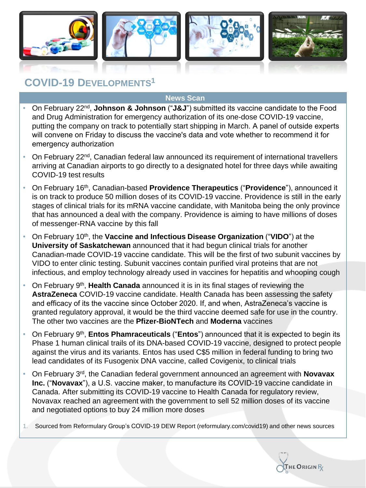

## **COVID-19 DEVELOPMENTS<sup>1</sup>**

- On February 22<sup>nd</sup>, **Johnson & Johnson** ("J&J") submitted its vaccine candidate to the Food and Drug Administration for emergency authorization of its one-dose COVID-19 vaccine, putting the company on track to potentially start shipping in March. A panel of outside experts will convene on Friday to discuss the vaccine's data and vote whether to recommend it for emergency authorization
- On February 22nd, Canadian federal law announced its requirement of international travellers arriving at Canadian airports to go directly to a designated hotel for three days while awaiting COVID-19 test results
- On February 16th, Canadian-based **Providence Therapeutics** ("**Providence**"), announced it is on track to produce 50 million doses of its COVID-19 vaccine. Providence is still in the early stages of clinical trials for its mRNA vaccine candidate, with Manitoba being the only province that has announced a deal with the company. Providence is aiming to have millions of doses of messenger-RNA vaccine by this fall
- On February 10<sup>th</sup>, the **Vaccine and Infectious Disease Organization** ("VIDO") at the **University of Saskatchewan** announced that it had begun clinical trials for another Canadian-made COVID-19 vaccine candidate. This will be the first of two subunit vaccines by VIDO to enter clinic testing. Subunit vaccines contain purified viral proteins that are not infectious, and employ technology already used in vaccines for hepatitis and whooping cough
- On February 9<sup>th</sup>, **Health Canada** announced it is in its final stages of reviewing the **AstraZeneca** COVID-19 vaccine candidate. Health Canada has been assessing the safety and efficacy of its the vaccine since October 2020. If, and when, AstraZeneca's vaccine is granted regulatory approval, it would be the third vaccine deemed safe for use in the country. The other two vaccines are the **Pfizer-BioNTech** and **Moderna** vaccines
- On February 9<sup>th</sup>, **Entos Phamraceuticals** ("**Entos**") announced that it is expected to begin its Phase 1 human clinical trails of its DNA-based COVID-19 vaccine, designed to protect people against the virus and its variants. Entos has used C\$5 million in federal funding to bring two lead candidates of its Fusogenix DNA vaccine, called Covigenix, to clinical trials
- On February 3rd, the Canadian federal government announced an agreement with **Novavax Inc.** ("**Novavax**"), a U.S. vaccine maker, to manufacture its COVID-19 vaccine candidate in Canada. After submitting its COVID-19 vaccine to Health Canada for regulatory review, Novavax reached an agreement with the government to sell 52 million doses of its vaccine and negotiated options to buy 24 million more doses
- 1. Sourced from Reformulary Group's COVID-19 DEW Report (reformulary.com/covid19) and other news sources

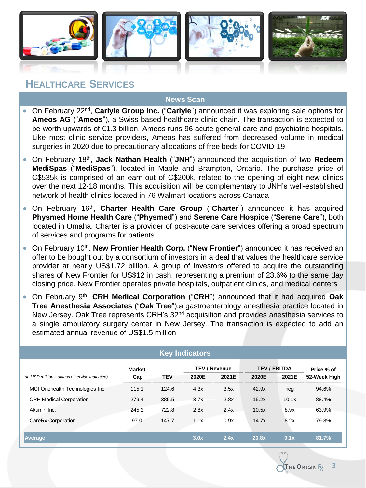

### **HEALTHCARE SERVICES**

- On February 22nd , **Carlyle Group Inc.** ("**Carlyle**") announced it was exploring sale options for **Ameos AG** ("**Ameos**"), a Swiss-based healthcare clinic chain. The transaction is expected to be worth upwards of €1.3 billion. Ameos runs 96 acute general care and psychiatric hospitals. Like most clinic service providers, Ameos has suffered from decreased volume in medical surgeries in 2020 due to precautionary allocations of free beds for COVID-19
- On February 18th , **Jack Nathan Health** ("**JNH**") announced the acquisition of two **Redeem MediSpas** ("**MediSpas**"), located in Maple and Brampton, Ontario. The purchase price of C\$535k is comprised of an earn-out of C\$200k, related to the opening of eight new clinics over the next 12-18 months. This acquisition will be complementary to JNH's well-established network of health clinics located in 76 Walmart locations across Canada
- On February 16th , **Charter Health Care Group** ("**Charter**") announced it has acquired **Physmed Home Health Care** ("**Physmed**") and **Serene Care Hospice** ("**Serene Care**"), both located in Omaha. Charter is a provider of post-acute care services offering a broad spectrum of services and programs for patients
- **•** On February 10<sup>th</sup>, New Frontier Health Corp. ("New Frontier") announced it has received an offer to be bought out by a consortium of investors in a deal that values the healthcare service provider at nearly US\$1.72 billion. A group of investors offered to acquire the outstanding shares of New Frontier for US\$12 in cash, representing a premium of 23.6% to the same day closing price. New Frontier operates private hospitals, outpatient clinics, and medical centers
- **•** On February 9<sup>th</sup>, CRH Medical Corporation ("CRH") announced that it had acquired Oak **Tree Anesthesia Associates** ("**Oak Tree**"),a gastroenterology anesthesia practice located in New Jersey. Oak Tree represents CRH's 32<sup>nd</sup> acquisition and provides anesthesia services to a single ambulatory surgery center in New Jersey. The transaction is expected to add an estimated annual revenue of US\$1.5 million

| <b>Key Indicators</b>                         |               |            |                      |       |                     |       |              |  |
|-----------------------------------------------|---------------|------------|----------------------|-------|---------------------|-------|--------------|--|
|                                               | <b>Market</b> |            | <b>TEV / Revenue</b> |       | <b>TEV / EBITDA</b> |       | Price % of   |  |
| (in USD millions, unless otherwise indicated) | Cap           | <b>TEV</b> | 2020E                | 2021E | 2020E               | 2021E | 52-Week High |  |
| MCI Onehealth Technologies Inc.               | 115.1         | 124.6      | 4.3x                 | 3.5x  | 42.9x               | neg   | 94.6%        |  |
| <b>CRH Medical Corporation</b>                | 279.4         | 385.5      | 3.7x                 | 2.8x  | 15.2x               | 10.1x | 88.4%        |  |
| Akumin Inc.                                   | 245.2         | 722.8      | 2.8x                 | 2.4x  | 10.5x               | 8.9x  | 63.9%        |  |
| CareRx Corporation                            | 97.0          | 147.7      | 1.1x                 | 0.9x  | 14.7x               | 8.2x  | 79.8%        |  |
|                                               |               |            |                      |       |                     |       |              |  |
| Average                                       |               |            | 3.0x                 | 2.4x  | 20.8x               | 9.1x  | 81.7%        |  |

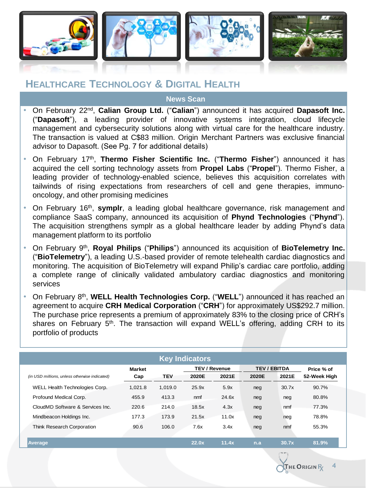

### **HEALTHCARE TECHNOLOGY & DIGITAL HEALTH**

- On February 22nd , **Calian Group Ltd.** ("**Calian**") announced it has acquired **Dapasoft Inc.** ("**Dapasoft**"), a leading provider of innovative systems integration, cloud lifecycle management and cybersecurity solutions along with virtual care for the healthcare industry. The transaction is valued at C\$83 million. Origin Merchant Partners was exclusive financial advisor to Dapasoft. (See Pg. 7 for additional details)
- On February 17th , **Thermo Fisher Scientific Inc.** ("**Thermo Fisher**") announced it has acquired the cell sorting technology assets from **Propel Labs** ("**Propel**"). Thermo Fisher, a leading provider of technology-enabled science, believes this acquisition correlates with tailwinds of rising expectations from researchers of cell and gene therapies, immunooncology, and other promising medicines
- On February 16<sup>th</sup>, symplr, a leading global healthcare governance, risk management and compliance SaaS company, announced its acquisition of **Phynd Technologies** ("**Phynd**"). The acquisition strengthens symplr as a global healthcare leader by adding Phynd's data management platform to its portfolio
- On February 9<sup>th</sup>, Royal Philips ("Philips") announced its acquisition of BioTelemetry Inc. ("**BioTelemetry**"), a leading U.S.-based provider of remote telehealth cardiac diagnostics and monitoring. The acquisition of BioTelemetry will expand Philip's cardiac care portfolio, adding a complete range of clinically validated ambulatory cardiac diagnostics and monitoring services
- **•** On February 8<sup>th</sup>, WELL Health Technologies Corp. ("WELL") announced it has reached an agreement to acquire **CRH Medical Corporation** ("**CRH**") for approximately US\$292.7 million. The purchase price represents a premium of approximately 83% to the closing price of CRH's shares on February 5<sup>th</sup>. The transaction will expand WELL's offering, adding CRH to its portfolio of products

| <b>Key Indicators</b>                         |               |            |                      |       |                     |       |              |
|-----------------------------------------------|---------------|------------|----------------------|-------|---------------------|-------|--------------|
|                                               | <b>Market</b> |            | <b>TEV / Revenue</b> |       | <b>TEV / EBITDA</b> |       | Price % of   |
| (in USD millions, unless otherwise indicated) | Cap           | <b>TEV</b> | 2020E                | 2021E | 2020E               | 2021E | 52-Week High |
| WELL Health Technologies Corp.                | 1.021.8       | 1.019.0    | 25.9x                | 5.9x  | neg                 | 30.7x | 90.7%        |
| Profound Medical Corp.                        | 455.9         | 413.3      | nmf                  | 24.6x | neg                 | neg   | 80.8%        |
| CloudMD Software & Services Inc.              | 220.6         | 214.0      | 18.5x                | 4.3x  | neg                 | nmf   | 77.3%        |
| Mindbeacon Holdings Inc.                      | 177.3         | 173.9      | 21.5x                | 11.0x | neg                 | neg   | 78.8%        |
| Think Research Corporation                    | 90.6          | 106.0      | 7.6x                 | 3.4x  | neg                 | nmf   | 55.3%        |
| <b>Average</b>                                |               |            | 22.0x                | 11.4x | n.a                 | 30.7x | 81.9%        |

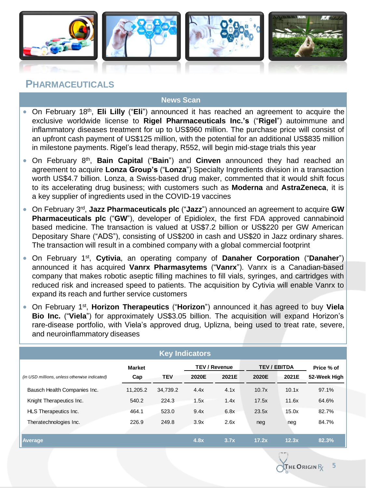

### **PHARMACEUTICALS**

- On February 18<sup>th</sup>, Eli Lilly ("Eli") announced it has reached an agreement to acquire the exclusive worldwide license to **Rigel Pharmaceuticals Inc.'s** ("**Rigel**") autoimmune and inflammatory diseases treatment for up to US\$960 million. The purchase price will consist of an upfront cash payment of US\$125 million, with the potential for an additional US\$835 million in milestone payments. Rigel's lead therapy, R552, will begin mid-stage trials this year
- **•** On February 8<sup>th</sup>, **Bain Capital** ("Bain") and Cinven announced they had reached an agreement to acquire **Lonza Group's** ("**Lonza**") Specialty Ingredients division in a transaction worth US\$4.7 billion. Lonza, a Swiss-based drug maker, commented that it would shift focus to its accelerating drug business; with customers such as **Moderna** and **AstraZeneca**, it is a key supplier of ingredients used in the COVID-19 vaccines
- **•** On February 3<sup>rd</sup>, Jazz Pharmaceuticals plc ("Jazz") announced an agreement to acquire GW **Pharmaceuticals plc** ("**GW**"), developer of Epidiolex, the first FDA approved cannabinoid based medicine. The transaction is valued at US\$7.2 billion or US\$220 per GW American Depositary Share ("ADS"), consisting of US\$200 in cash and US\$20 in Jazz ordinary shares. The transaction will result in a combined company with a global commercial footprint
- **•** On February 1<sup>st</sup>, Cytivia, an operating company of Danaher Corporation ("Danaher") announced it has acquired **Vanrx Pharmasytems** ("**Vanrx**"). Vanrx is a Canadian-based company that makes robotic aseptic filling machines to fill vials, syringes, and cartridges with reduced risk and increased speed to patients. The acquisition by Cytivia will enable Vanrx to expand its reach and further service customers
- **•** On February 1<sup>st</sup>, Horizon Therapeutics ("Horizon") announced it has agreed to buy Viela **Bio Inc.** ("**Viela**") for approximately US\$3.05 billion. The acquisition will expand Horizon's rare-disease portfolio, with Viela's approved drug, Uplizna, being used to treat rate, severe, and neuroinflammatory diseases

| <b>Key Indicators</b>                         |               |            |                      |       |                     |       |              |  |
|-----------------------------------------------|---------------|------------|----------------------|-------|---------------------|-------|--------------|--|
|                                               | <b>Market</b> |            | <b>TEV / Revenue</b> |       | <b>TEV / EBITDA</b> |       | Price % of   |  |
| (in USD millions, unless otherwise indicated) | Cap           | <b>TEV</b> | 2020E                | 2021E | 2020E               | 2021E | 52-Week High |  |
| Bausch Health Companies Inc.                  | 11,205.2      | 34,739.2   | 4.4x                 | 4.1x  | 10.7x               | 10.1x | 97.1%        |  |
| Knight Therapeutics Inc.                      | 540.2         | 224.3      | 1.5x                 | 1.4x  | 17.5x               | 11.6x | 64.6%        |  |
| HLS Therapeutics Inc.                         | 464.1         | 523.0      | 9.4x                 | 6.8x  | 23.5x               | 15.0x | 82.7%        |  |
| Theratechnologies Inc.                        | 226.9         | 249.8      | 3.9x                 | 2.6x  | neg                 | neg   | 84.7%        |  |
| Average                                       |               |            | 4.8x                 | 3.7x  | 17.2x               | 12.3x | 82.3%        |  |

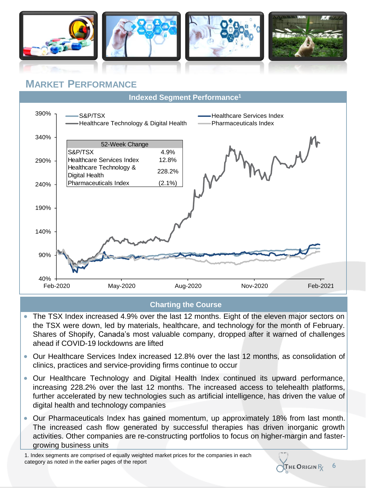

### **MARKET PERFORMANCE**



### **Charting the Course**

- The TSX Index increased 4.9% over the last 12 months. Eight of the eleven major sectors on the TSX were down, led by materials, healthcare, and technology for the month of February. Shares of Shopify, Canada's most valuable company, dropped after it warned of challenges ahead if COVID-19 lockdowns are lifted
- Our Healthcare Services Index increased 12.8% over the last 12 months, as consolidation of clinics, practices and service-providing firms continue to occur
- Our Healthcare Technology and Digital Health Index continued its upward performance, increasing 228.2% over the last 12 months. The increased access to telehealth platforms, further accelerated by new technologies such as artificial intelligence, has driven the value of digital health and technology companies
- Our Pharmaceuticals Index has gained momentum, up approximately 18% from last month. The increased cash flow generated by successful therapies has driven inorganic growth activities. Other companies are re-constructing portfolios to focus on higher-margin and fastergrowing business units

1. Index segments are comprised of equally weighted market prices for the companies in each category as noted in the earlier pages of the report



**6**